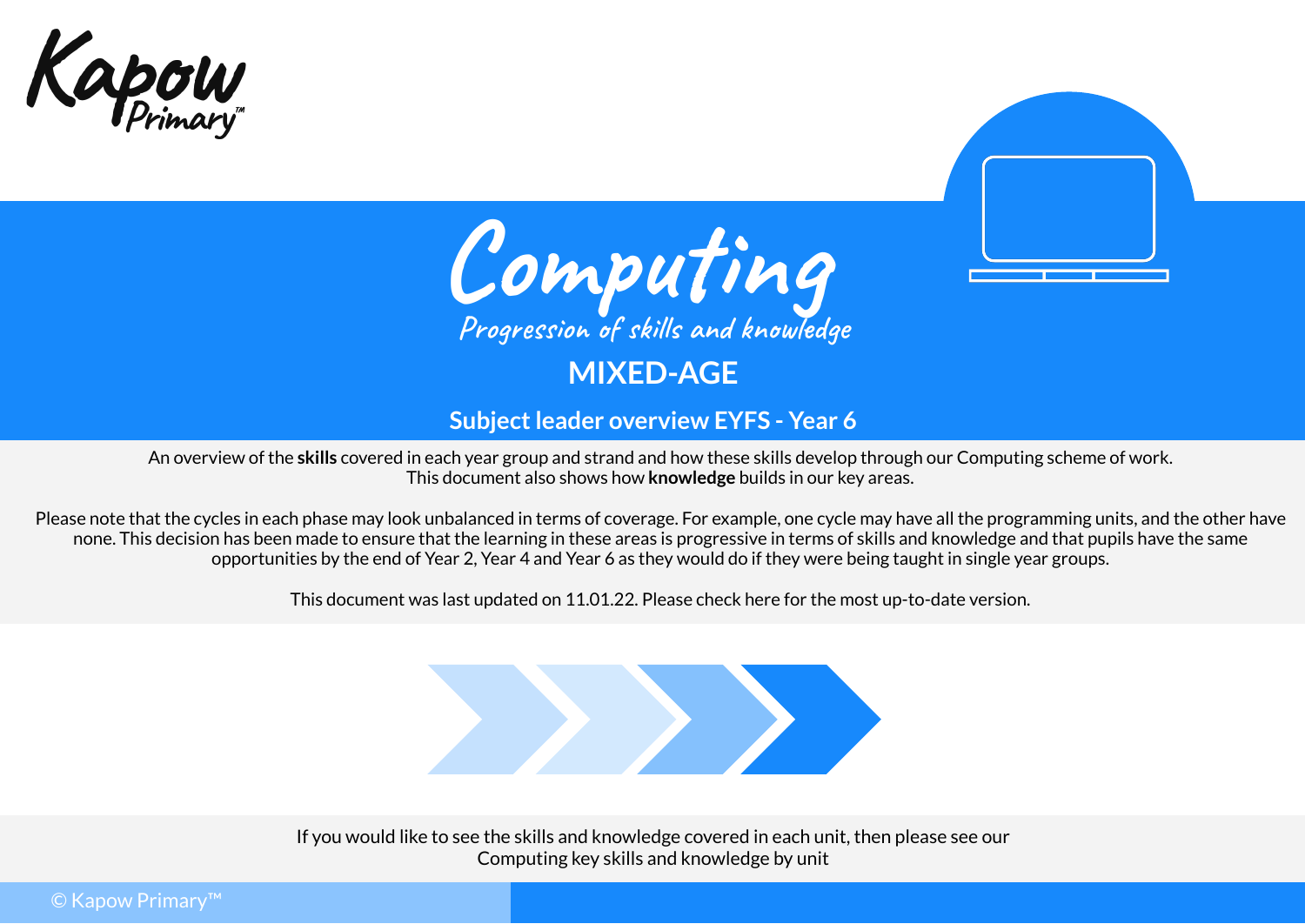





**Subject leader overview EYFS - Year 6**

An overview of the **skills** covered in each year group and strand and how these skills develop through our Computing scheme of work. This document also shows how **knowledge** builds in our key areas.

Please note that the cycles in each phase may look unbalanced in terms of coverage. For example, one cycle may have all the programming units, and the other have none. This decision has been made to ensure that the learning in these areas is progressive in terms of skills and knowledge and that pupils have the same opportunities by the end of Year 2, Year 4 and Year 6 as they would do if they were being taught in single year groups.

This document was last updated on 11.01.22. Please check here for the most up-to-date version.



If you would like to see the skills and knowledge covered in each unit, then please see our Computing key skills and knowledge by unit

© Kapow Primary™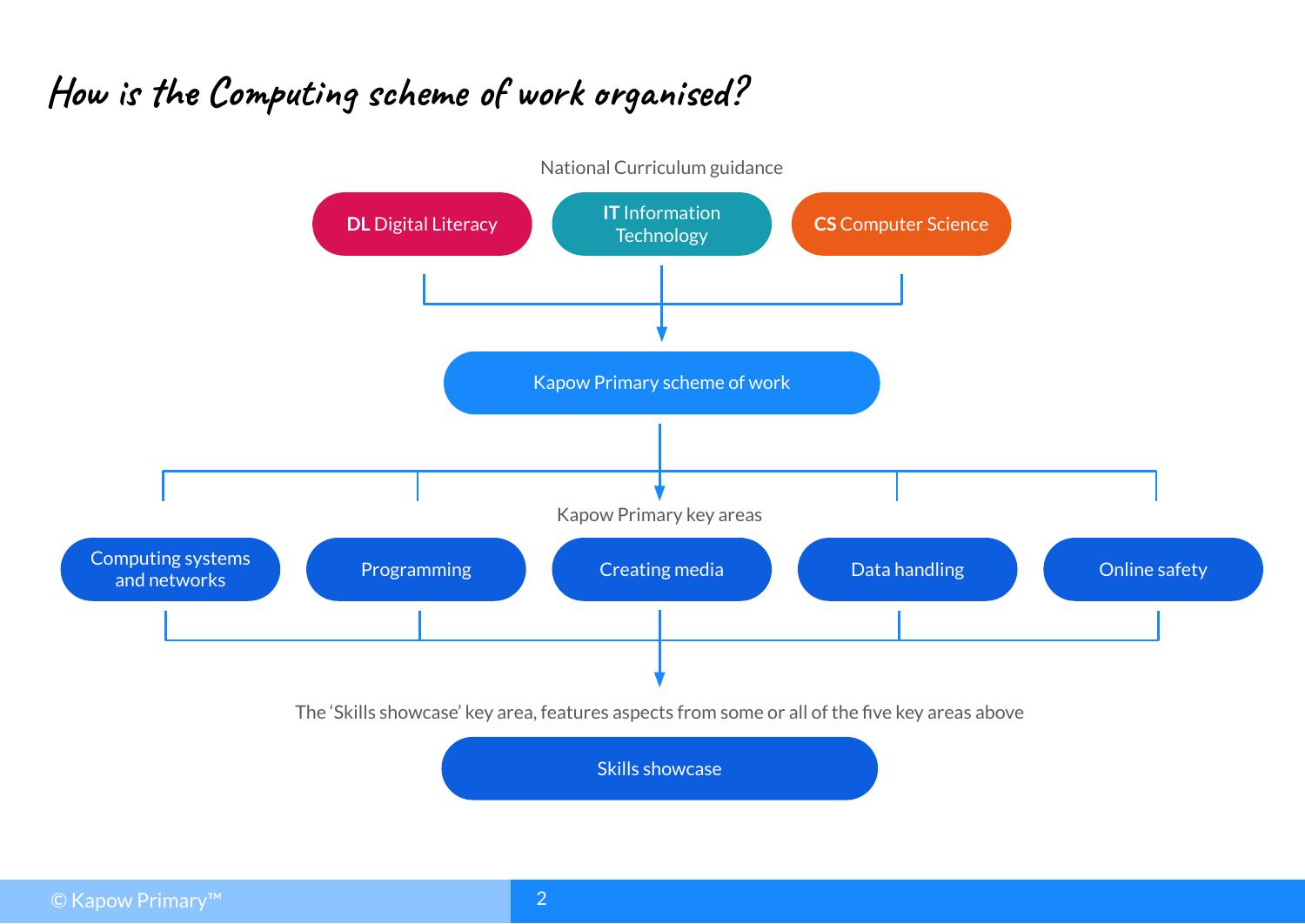# **How is the Computing scheme of work organised?**

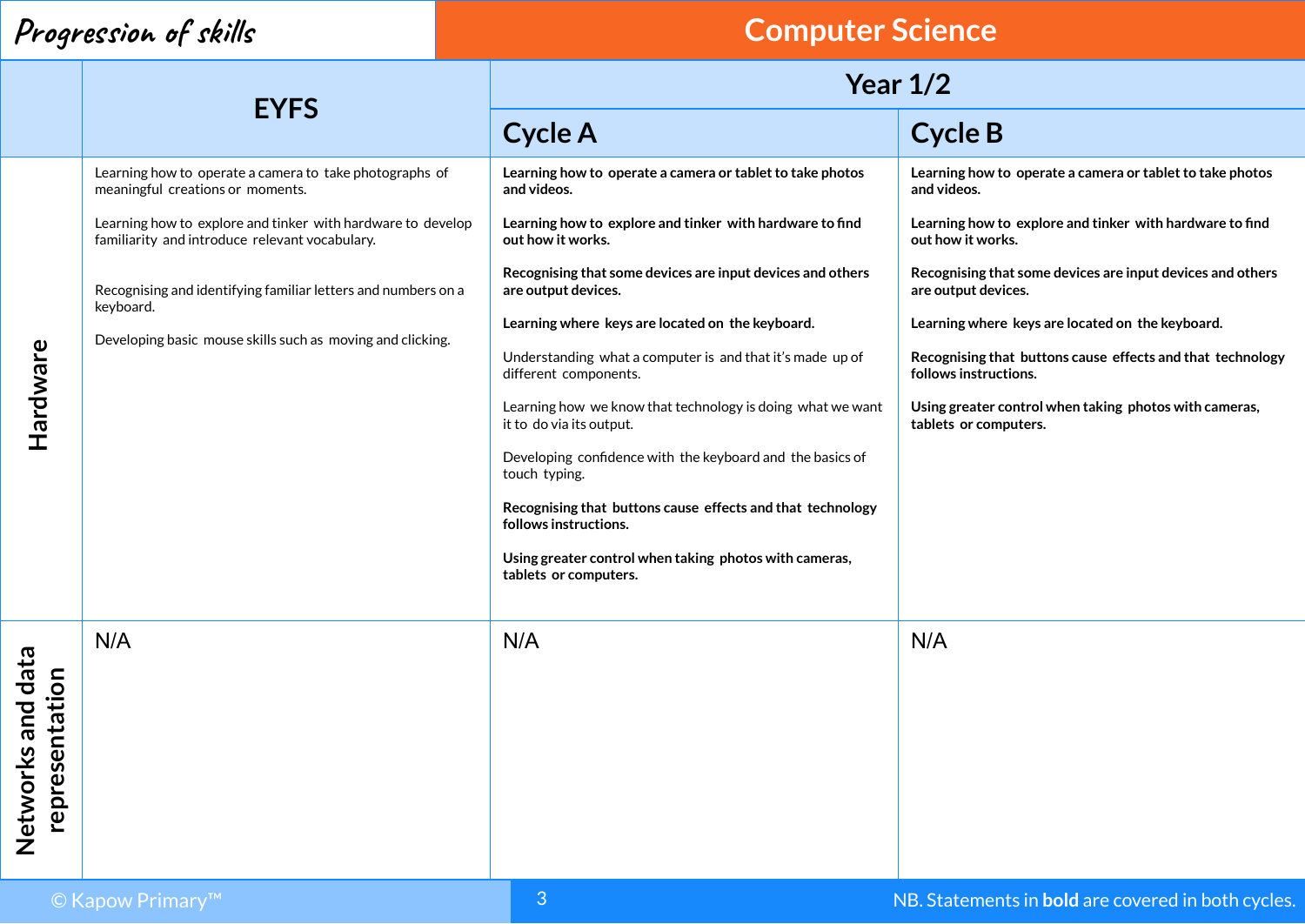| Progression of skills                      |                                                                                                               | <b>Computer Science</b> |                                                                                        |                                                                                     |  |  |
|--------------------------------------------|---------------------------------------------------------------------------------------------------------------|-------------------------|----------------------------------------------------------------------------------------|-------------------------------------------------------------------------------------|--|--|
|                                            | <b>EYFS</b>                                                                                                   |                         | Year $1/2$                                                                             |                                                                                     |  |  |
|                                            |                                                                                                               |                         | <b>Cycle A</b>                                                                         | <b>Cycle B</b>                                                                      |  |  |
|                                            | Learning how to operate a camera to take photographs of<br>meaningful creations or moments.                   |                         | Learning how to operate a camera or tablet to take photos<br>and videos.               | Learning how to operate a camera or tablet to take photos<br>and videos.            |  |  |
|                                            | Learning how to explore and tinker with hardware to develop<br>familiarity and introduce relevant vocabulary. |                         | Learning how to explore and tinker with hardware to find<br>out how it works.          | Learning how to explore and tinker with hardware to find<br>out how it works.       |  |  |
|                                            | Recognising and identifying familiar letters and numbers on a                                                 |                         | Recognising that some devices are input devices and others<br>are output devices.      | Recognising that some devices are input devices and others<br>are output devices.   |  |  |
|                                            | keyboard.<br>Developing basic mouse skills such as moving and clicking.                                       |                         | Learning where keys are located on the keyboard.                                       | Learning where keys are located on the keyboard.                                    |  |  |
|                                            |                                                                                                               |                         | Understanding what a computer is and that it's made up of<br>different components.     | Recognising that buttons cause effects and that technology<br>follows instructions. |  |  |
| Hardware                                   |                                                                                                               |                         | Learning how we know that technology is doing what we want<br>it to do via its output. | Using greater control when taking photos with cameras,<br>tablets or computers.     |  |  |
|                                            |                                                                                                               |                         | Developing confidence with the keyboard and the basics of<br>touch typing.             |                                                                                     |  |  |
|                                            |                                                                                                               |                         | Recognising that buttons cause effects and that technology<br>follows instructions.    |                                                                                     |  |  |
|                                            |                                                                                                               |                         | Using greater control when taking photos with cameras,<br>tablets or computers.        |                                                                                     |  |  |
|                                            | N/A                                                                                                           |                         | N/A                                                                                    | N/A                                                                                 |  |  |
| data<br>tion<br>Networks and<br>representa |                                                                                                               |                         |                                                                                        |                                                                                     |  |  |
|                                            | © Kapow Primary™                                                                                              |                         | 3                                                                                      | NB. Statements in bold are covered in both cycles.                                  |  |  |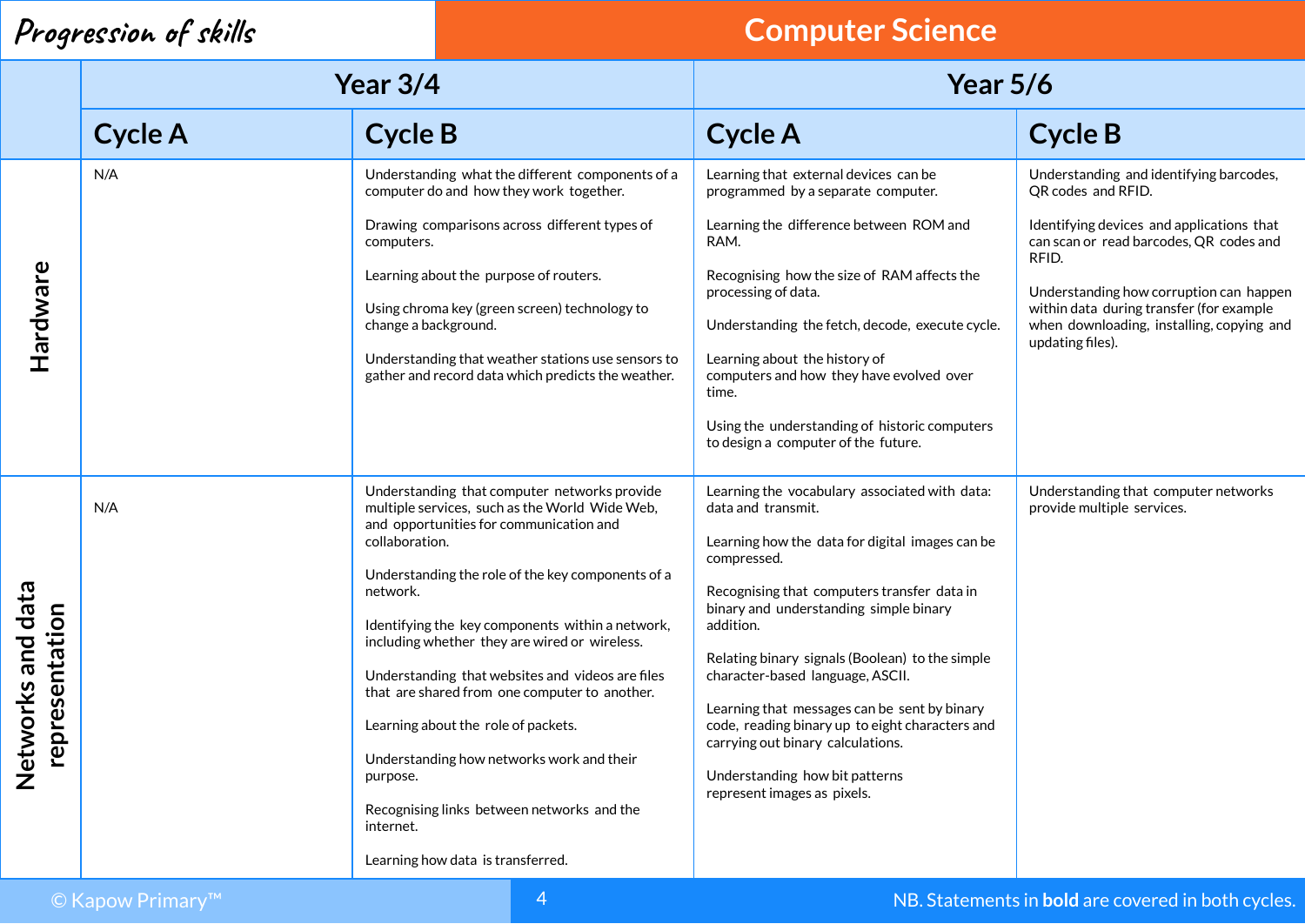|                                             | Progression of skills               |                                                                                                                                                                                                                                                                                                                        |                                                                                                                                                                                                                                                                                                              | <b>Computer Science</b>                                                                                                                                                                                                                                                                                                                                                                                                                                                                                                                     |                                                                                                                                                                                                                                                                                                                        |  |
|---------------------------------------------|-------------------------------------|------------------------------------------------------------------------------------------------------------------------------------------------------------------------------------------------------------------------------------------------------------------------------------------------------------------------|--------------------------------------------------------------------------------------------------------------------------------------------------------------------------------------------------------------------------------------------------------------------------------------------------------------|---------------------------------------------------------------------------------------------------------------------------------------------------------------------------------------------------------------------------------------------------------------------------------------------------------------------------------------------------------------------------------------------------------------------------------------------------------------------------------------------------------------------------------------------|------------------------------------------------------------------------------------------------------------------------------------------------------------------------------------------------------------------------------------------------------------------------------------------------------------------------|--|
|                                             |                                     | Year $3/4$                                                                                                                                                                                                                                                                                                             |                                                                                                                                                                                                                                                                                                              | Year $5/6$                                                                                                                                                                                                                                                                                                                                                                                                                                                                                                                                  |                                                                                                                                                                                                                                                                                                                        |  |
|                                             | Cycle A                             | <b>Cycle B</b>                                                                                                                                                                                                                                                                                                         |                                                                                                                                                                                                                                                                                                              | <b>Cycle A</b>                                                                                                                                                                                                                                                                                                                                                                                                                                                                                                                              | <b>Cycle B</b>                                                                                                                                                                                                                                                                                                         |  |
| Hardware                                    | N/A                                 | computer do and how they work together.<br>computers.<br>Learning about the purpose of routers.<br>Using chroma key (green screen) technology to<br>change a background.                                                                                                                                               | Understanding what the different components of a<br>Drawing comparisons across different types of<br>Understanding that weather stations use sensors to<br>gather and record data which predicts the weather.                                                                                                | Learning that external devices can be<br>programmed by a separate computer.<br>Learning the difference between ROM and<br>RAM.<br>Recognising how the size of RAM affects the<br>processing of data.<br>Understanding the fetch, decode, execute cycle.<br>Learning about the history of<br>computers and how they have evolved over<br>time.<br>Using the understanding of historic computers<br>to design a computer of the future.                                                                                                       | Understanding and identifying barcodes,<br>QR codes and RFID.<br>Identifying devices and applications that<br>can scan or read barcodes, QR codes and<br>RFID.<br>Understanding how corruption can happen<br>within data during transfer (for example<br>when downloading, installing, copying and<br>updating files). |  |
| s and data<br>entation<br>Networl<br>repres | N/A                                 | and opportunities for communication and<br>collaboration.<br>network.<br>including whether they are wired or wireless.<br>Learning about the role of packets.<br>Understanding how networks work and their<br>purpose.<br>Recognising links between networks and the<br>internet.<br>Learning how data is transferred. | Understanding that computer networks provide<br>multiple services, such as the World Wide Web,<br>Understanding the role of the key components of a<br>Identifying the key components within a network,<br>Understanding that websites and videos are files<br>that are shared from one computer to another. | Learning the vocabulary associated with data:<br>data and transmit.<br>Learning how the data for digital images can be<br>compressed.<br>Recognising that computers transfer data in<br>binary and understanding simple binary<br>addition.<br>Relating binary signals (Boolean) to the simple<br>character-based language, ASCII.<br>Learning that messages can be sent by binary<br>code, reading binary up to eight characters and<br>carrying out binary calculations.<br>Understanding how bit patterns<br>represent images as pixels. | Understanding that computer networks<br>provide multiple services.                                                                                                                                                                                                                                                     |  |
|                                             | $\odot$ Kapow Primary <sup>TM</sup> |                                                                                                                                                                                                                                                                                                                        | 4                                                                                                                                                                                                                                                                                                            |                                                                                                                                                                                                                                                                                                                                                                                                                                                                                                                                             | NB. Statements in bold are covered in both cycles.                                                                                                                                                                                                                                                                     |  |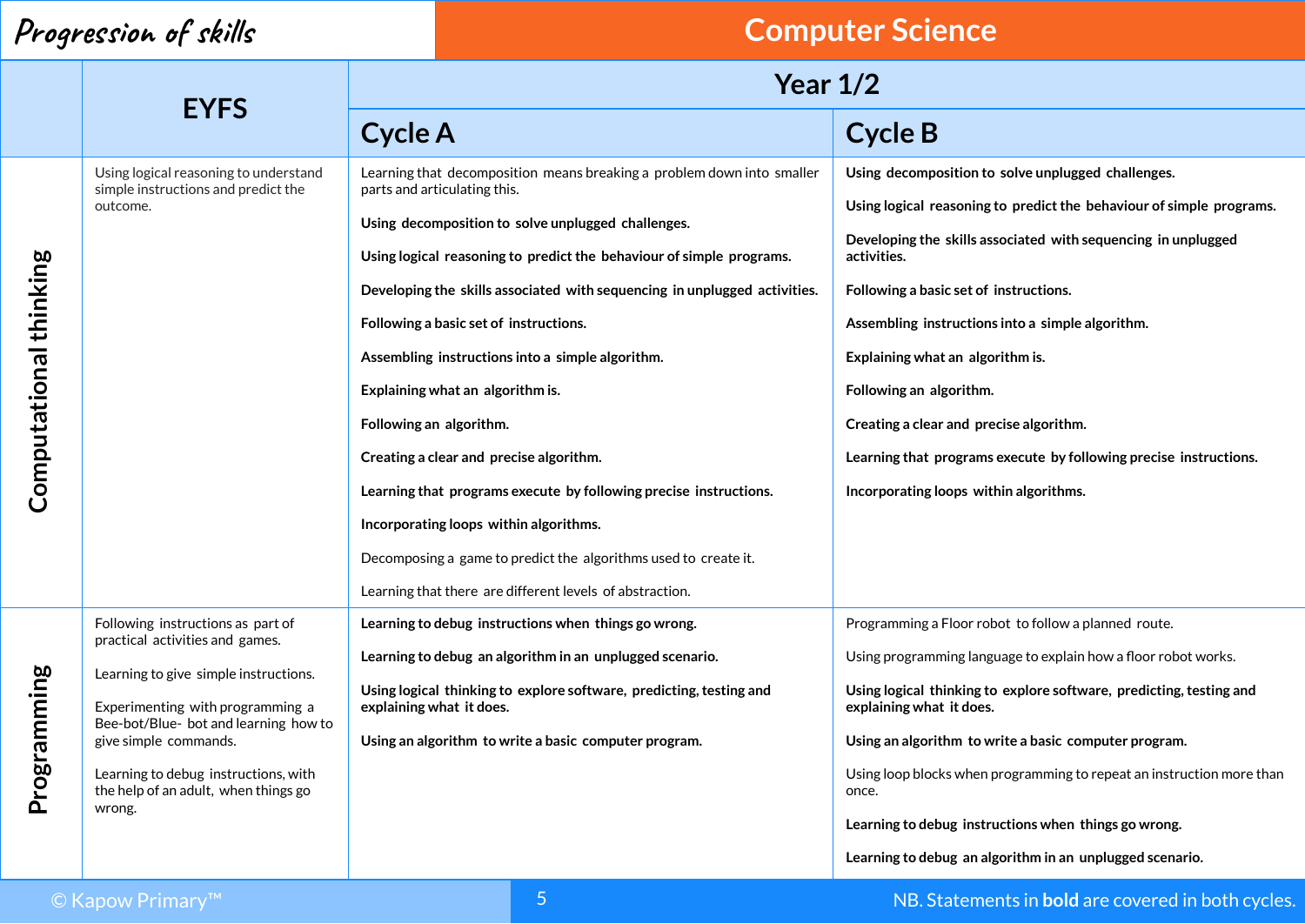| Progression of skills  |                                                                                                                                                                                                                                                                                                               | <b>Computer Science</b> |                                                                                                                                                                                                                                                                                                                                                                                                                                                                                                                                                                                                                                                                                                                                                                         |                                                                                                                                                                                                                                                                                                                                                                                                                                                                                                                                   |  |  |
|------------------------|---------------------------------------------------------------------------------------------------------------------------------------------------------------------------------------------------------------------------------------------------------------------------------------------------------------|-------------------------|-------------------------------------------------------------------------------------------------------------------------------------------------------------------------------------------------------------------------------------------------------------------------------------------------------------------------------------------------------------------------------------------------------------------------------------------------------------------------------------------------------------------------------------------------------------------------------------------------------------------------------------------------------------------------------------------------------------------------------------------------------------------------|-----------------------------------------------------------------------------------------------------------------------------------------------------------------------------------------------------------------------------------------------------------------------------------------------------------------------------------------------------------------------------------------------------------------------------------------------------------------------------------------------------------------------------------|--|--|
|                        | <b>EYFS</b>                                                                                                                                                                                                                                                                                                   |                         | Year $1/2$                                                                                                                                                                                                                                                                                                                                                                                                                                                                                                                                                                                                                                                                                                                                                              |                                                                                                                                                                                                                                                                                                                                                                                                                                                                                                                                   |  |  |
|                        |                                                                                                                                                                                                                                                                                                               | <b>Cycle A</b>          |                                                                                                                                                                                                                                                                                                                                                                                                                                                                                                                                                                                                                                                                                                                                                                         | <b>Cycle B</b>                                                                                                                                                                                                                                                                                                                                                                                                                                                                                                                    |  |  |
| Computational thinking | Using logical reasoning to understand<br>simple instructions and predict the<br>outcome.                                                                                                                                                                                                                      |                         | Learning that decomposition means breaking a problem down into smaller<br>parts and articulating this.<br>Using decomposition to solve unplugged challenges.<br>Using logical reasoning to predict the behaviour of simple programs.<br>Developing the skills associated with sequencing in unplugged activities.<br>Following a basic set of instructions.<br>Assembling instructions into a simple algorithm.<br>Explaining what an algorithm is.<br>Following an algorithm.<br>Creating a clear and precise algorithm.<br>Learning that programs execute by following precise instructions.<br>Incorporating loops within algorithms.<br>Decomposing a game to predict the algorithms used to create it.<br>Learning that there are different levels of abstraction. | Using decomposition to solve unplugged challenges.<br>Using logical reasoning to predict the behaviour of simple programs.<br>Developing the skills associated with sequencing in unplugged<br>activities.<br>Following a basic set of instructions.<br>Assembling instructions into a simple algorithm.<br>Explaining what an algorithm is.<br>Following an algorithm.<br>Creating a clear and precise algorithm.<br>Learning that programs execute by following precise instructions.<br>Incorporating loops within algorithms. |  |  |
| ming<br>Programı       | Following instructions as part of<br>practical activities and games.<br>Learning to give simple instructions.<br>Experimenting with programming a<br>Bee-bot/Blue- bot and learning how to<br>give simple commands.<br>Learning to debug instructions, with<br>the help of an adult, when things go<br>wrong. |                         | Learning to debug instructions when things go wrong.<br>Learning to debug an algorithm in an unplugged scenario.<br>Using logical thinking to explore software, predicting, testing and<br>explaining what it does.<br>Using an algorithm to write a basic computer program.                                                                                                                                                                                                                                                                                                                                                                                                                                                                                            | Programming a Floor robot to follow a planned route.<br>Using programming language to explain how a floor robot works.<br>Using logical thinking to explore software, predicting, testing and<br>explaining what it does.<br>Using an algorithm to write a basic computer program.<br>Using loop blocks when programming to repeat an instruction more than<br>once.<br>Learning to debug instructions when things go wrong.<br>Learning to debug an algorithm in an unplugged scenario.                                          |  |  |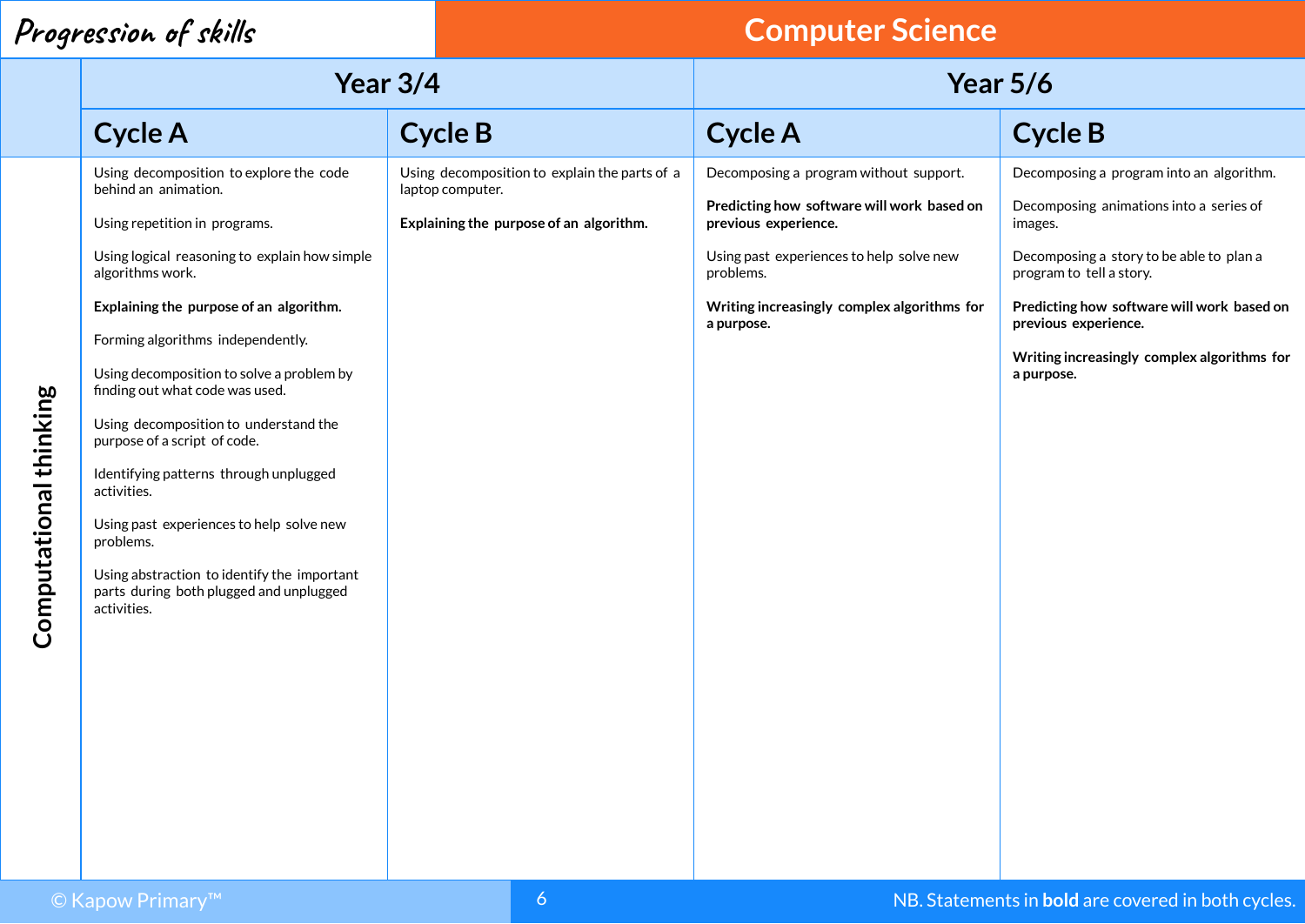|                        | Progression of skills                                                                                             |  |                                                                   | <b>Computer Science</b>                                            |                                                                      |  |
|------------------------|-------------------------------------------------------------------------------------------------------------------|--|-------------------------------------------------------------------|--------------------------------------------------------------------|----------------------------------------------------------------------|--|
|                        | Year 3/4                                                                                                          |  |                                                                   | <b>Year 5/6</b>                                                    |                                                                      |  |
|                        | <b>Cycle A</b>                                                                                                    |  | <b>Cycle B</b>                                                    | <b>Cycle A</b>                                                     | <b>Cycle B</b>                                                       |  |
|                        | Using decomposition to explore the code<br>behind an animation.                                                   |  | Using decomposition to explain the parts of a<br>laptop computer. | Decomposing a program without support.                             | Decomposing a program into an algorithm.                             |  |
|                        | Using repetition in programs.                                                                                     |  | Explaining the purpose of an algorithm.                           | Predicting how software will work based on<br>previous experience. | Decomposing animations into a series of<br>images.                   |  |
|                        | Using logical reasoning to explain how simple<br>algorithms work.                                                 |  |                                                                   | Using past experiences to help solve new<br>problems.              | Decomposing a story to be able to plan a<br>program to tell a story. |  |
|                        | Explaining the purpose of an algorithm.                                                                           |  |                                                                   | Writing increasingly complex algorithms for<br>a purpose.          | Predicting how software will work based on<br>previous experience.   |  |
|                        | Forming algorithms independently.<br>Using decomposition to solve a problem by<br>finding out what code was used. |  |                                                                   |                                                                    | Writing increasingly complex algorithms for<br>a purpose.            |  |
|                        | Using decomposition to understand the<br>purpose of a script of code.                                             |  |                                                                   |                                                                    |                                                                      |  |
|                        | Identifying patterns through unplugged<br>activities.                                                             |  |                                                                   |                                                                    |                                                                      |  |
|                        | Using past experiences to help solve new<br>problems.                                                             |  |                                                                   |                                                                    |                                                                      |  |
| Computational thinking | Using abstraction to identify the important<br>parts during both plugged and unplugged<br>activities.             |  |                                                                   |                                                                    |                                                                      |  |
|                        |                                                                                                                   |  |                                                                   |                                                                    |                                                                      |  |
|                        |                                                                                                                   |  |                                                                   |                                                                    |                                                                      |  |
|                        |                                                                                                                   |  |                                                                   |                                                                    |                                                                      |  |
|                        |                                                                                                                   |  |                                                                   |                                                                    |                                                                      |  |
|                        |                                                                                                                   |  |                                                                   |                                                                    |                                                                      |  |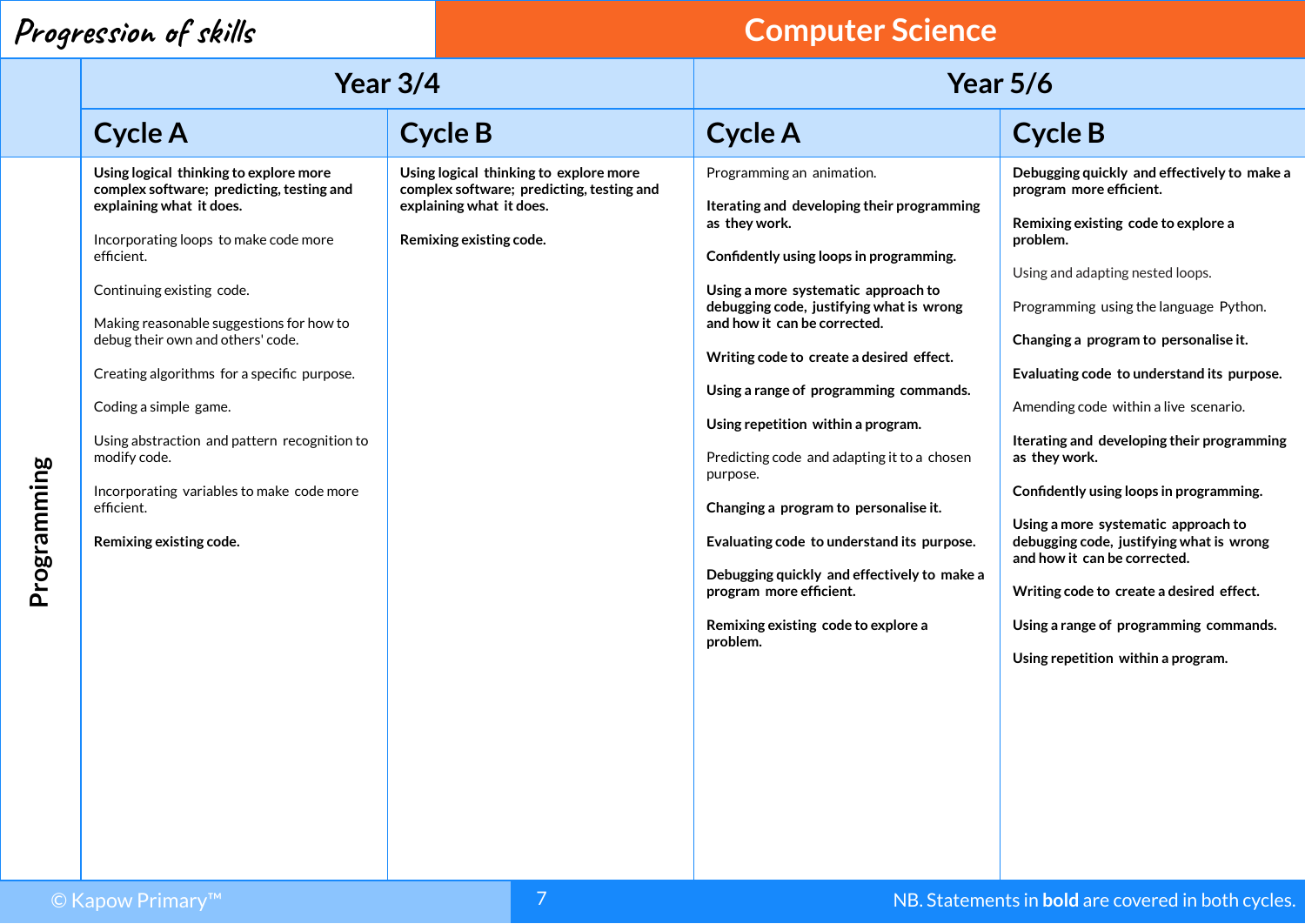|             | Progression of skills                                                                                                                                                                                                                                                                                                                                                                                                                                                                                              |                                                                                                                                            | <b>Computer Science</b>                                                                                                                                                                                                                                                                                                                                                                                                                                                                                                                                                                                                                                           |                                                                                                                                                                                                                                                                                                                                                                                                                                                                                                                                                                                                                                                                                                  |  |
|-------------|--------------------------------------------------------------------------------------------------------------------------------------------------------------------------------------------------------------------------------------------------------------------------------------------------------------------------------------------------------------------------------------------------------------------------------------------------------------------------------------------------------------------|--------------------------------------------------------------------------------------------------------------------------------------------|-------------------------------------------------------------------------------------------------------------------------------------------------------------------------------------------------------------------------------------------------------------------------------------------------------------------------------------------------------------------------------------------------------------------------------------------------------------------------------------------------------------------------------------------------------------------------------------------------------------------------------------------------------------------|--------------------------------------------------------------------------------------------------------------------------------------------------------------------------------------------------------------------------------------------------------------------------------------------------------------------------------------------------------------------------------------------------------------------------------------------------------------------------------------------------------------------------------------------------------------------------------------------------------------------------------------------------------------------------------------------------|--|
|             |                                                                                                                                                                                                                                                                                                                                                                                                                                                                                                                    | Year 3/4                                                                                                                                   |                                                                                                                                                                                                                                                                                                                                                                                                                                                                                                                                                                                                                                                                   | Year $5/6$                                                                                                                                                                                                                                                                                                                                                                                                                                                                                                                                                                                                                                                                                       |  |
|             | <b>Cycle A</b>                                                                                                                                                                                                                                                                                                                                                                                                                                                                                                     | <b>Cycle B</b>                                                                                                                             | <b>Cycle A</b>                                                                                                                                                                                                                                                                                                                                                                                                                                                                                                                                                                                                                                                    | <b>Cycle B</b>                                                                                                                                                                                                                                                                                                                                                                                                                                                                                                                                                                                                                                                                                   |  |
| Programming | Using logical thinking to explore more<br>complex software; predicting, testing and<br>explaining what it does.<br>Incorporating loops to make code more<br>efficient.<br>Continuing existing code.<br>Making reasonable suggestions for how to<br>debug their own and others' code.<br>Creating algorithms for a specific purpose.<br>Coding a simple game.<br>Using abstraction and pattern recognition to<br>modify code.<br>Incorporating variables to make code more<br>efficient.<br>Remixing existing code. | Using logical thinking to explore more<br>complex software; predicting, testing and<br>explaining what it does.<br>Remixing existing code. | Programming an animation.<br>Iterating and developing their programming<br>as they work.<br>Confidently using loops in programming.<br>Using a more systematic approach to<br>debugging code, justifying what is wrong<br>and how it can be corrected.<br>Writing code to create a desired effect.<br>Using a range of programming commands.<br>Using repetition within a program.<br>Predicting code and adapting it to a chosen<br>purpose.<br>Changing a program to personalise it.<br>Evaluating code to understand its purpose.<br>Debugging quickly and effectively to make a<br>program more efficient.<br>Remixing existing code to explore a<br>problem. | Debugging quickly and effectively to make a<br>program more efficient.<br>Remixing existing code to explore a<br>problem.<br>Using and adapting nested loops.<br>Programming using the language Python.<br>Changing a program to personalise it.<br>Evaluating code to understand its purpose.<br>Amending code within a live scenario.<br>Iterating and developing their programming<br>as they work.<br>Confidently using loops in programming.<br>Using a more systematic approach to<br>debugging code, justifying what is wrong<br>and how it can be corrected.<br>Writing code to create a desired effect.<br>Using a range of programming commands.<br>Using repetition within a program. |  |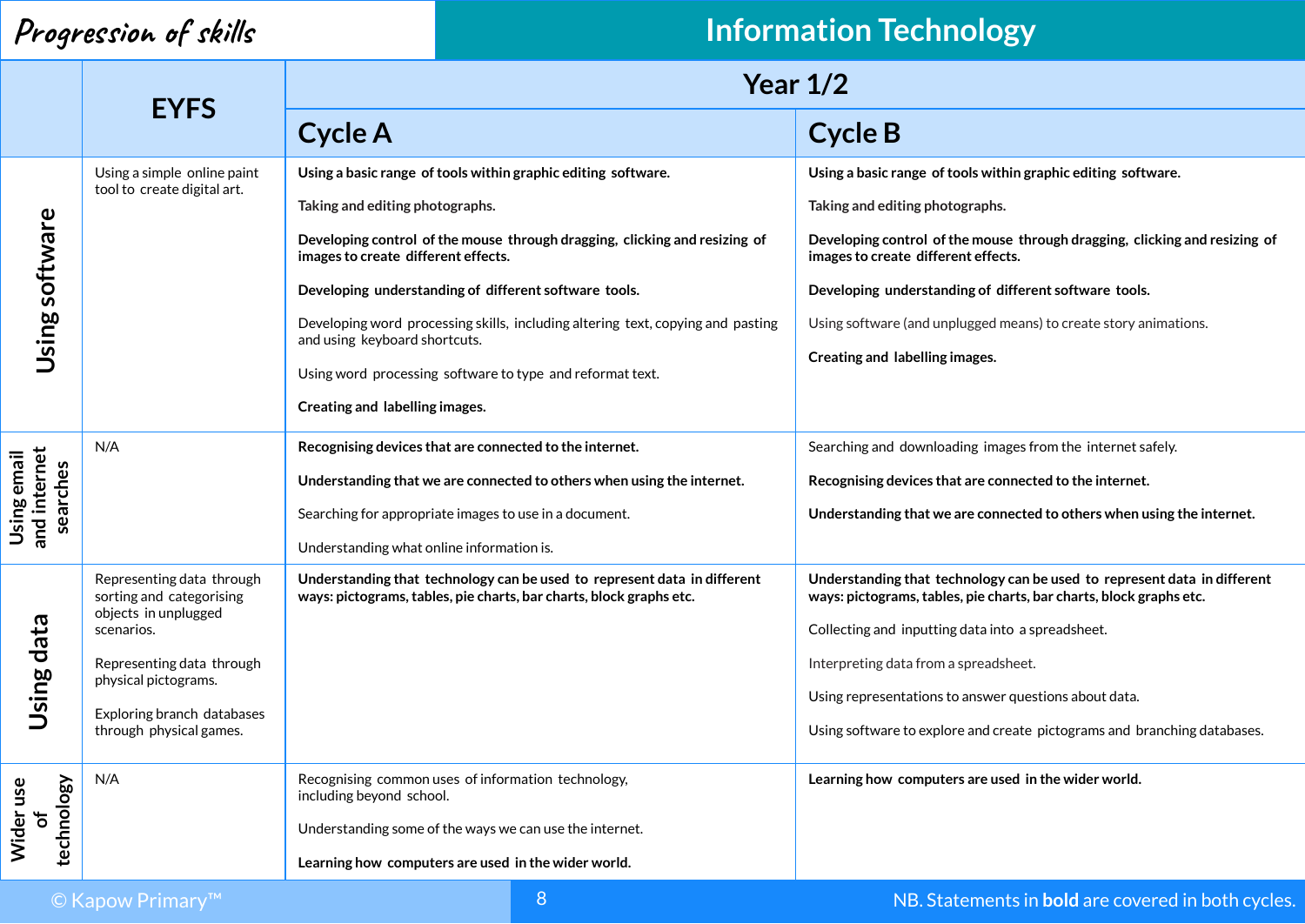## **Progression of skills Information Technology**

|                                                |                                                                                                                                                                                                           | Year $1/2$                                                                                                                                                                                                                                                                                                                                                                                                                                                                                        |                                                                                                                                                                                                                                                                                                                                                                                      |  |  |  |
|------------------------------------------------|-----------------------------------------------------------------------------------------------------------------------------------------------------------------------------------------------------------|---------------------------------------------------------------------------------------------------------------------------------------------------------------------------------------------------------------------------------------------------------------------------------------------------------------------------------------------------------------------------------------------------------------------------------------------------------------------------------------------------|--------------------------------------------------------------------------------------------------------------------------------------------------------------------------------------------------------------------------------------------------------------------------------------------------------------------------------------------------------------------------------------|--|--|--|
|                                                | <b>EYFS</b>                                                                                                                                                                                               | <b>Cycle A</b>                                                                                                                                                                                                                                                                                                                                                                                                                                                                                    | <b>Cycle B</b>                                                                                                                                                                                                                                                                                                                                                                       |  |  |  |
| Using software                                 | Using a simple online paint<br>tool to create digital art.                                                                                                                                                | Using a basic range of tools within graphic editing software.<br>Taking and editing photographs.<br>Developing control of the mouse through dragging, clicking and resizing of<br>images to create different effects.<br>Developing understanding of different software tools.<br>Developing word processing skills, including altering text, copying and pasting<br>and using keyboard shortcuts.<br>Using word processing software to type and reformat text.<br>Creating and labelling images. | Using a basic range of tools within graphic editing software.<br>Taking and editing photographs.<br>Developing control of the mouse through dragging, clicking and resizing of<br>images to create different effects.<br>Developing understanding of different software tools.<br>Using software (and unplugged means) to create story animations.<br>Creating and labelling images. |  |  |  |
| and internet<br>email<br>searches<br>ρg<br>jsi | N/A                                                                                                                                                                                                       | Recognising devices that are connected to the internet.<br>Understanding that we are connected to others when using the internet.<br>Searching for appropriate images to use in a document.<br>Understanding what online information is.                                                                                                                                                                                                                                                          | Searching and downloading images from the internet safely.<br>Recognising devices that are connected to the internet.<br>Understanding that we are connected to others when using the internet.                                                                                                                                                                                      |  |  |  |
| Using data                                     | Representing data through<br>sorting and categorising<br>objects in unplugged<br>scenarios.<br>Representing data through<br>physical pictograms.<br>Exploring branch databases<br>through physical games. | Understanding that technology can be used to represent data in different<br>ways: pictograms, tables, pie charts, bar charts, block graphs etc.                                                                                                                                                                                                                                                                                                                                                   | Understanding that technology can be used to represent data in different<br>ways: pictograms, tables, pie charts, bar charts, block graphs etc.<br>Collecting and inputting data into a spreadsheet.<br>Interpreting data from a spreadsheet.<br>Using representations to answer questions about data.<br>Using software to explore and create pictograms and branching databases.   |  |  |  |
| technology<br>Wider use                        | N/A                                                                                                                                                                                                       | Recognising common uses of information technology,<br>including beyond school.<br>Understanding some of the ways we can use the internet.<br>Learning how computers are used in the wider world.                                                                                                                                                                                                                                                                                                  | Learning how computers are used in the wider world.                                                                                                                                                                                                                                                                                                                                  |  |  |  |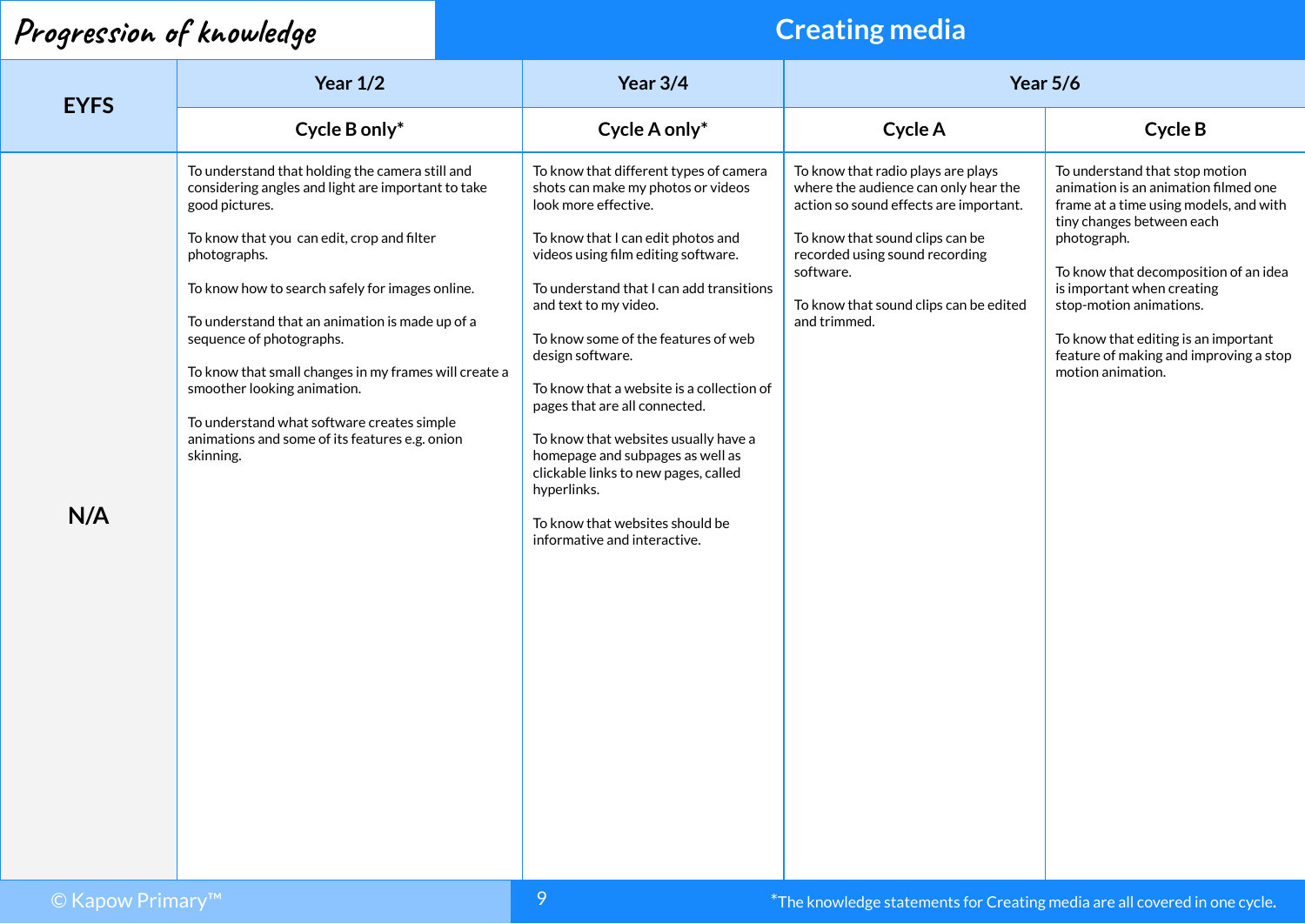## **Progression of knowledge Creating media**

| <b>EYFS</b> | Year $1/2$                                                                                                                                                                                                                                                                                                                                                                                                                                                                                                                   | Year 3/4                                                                                                                                                                                                                                                                                                                                                                                                                                                                                                                                                                                              | Year 5/6                                                                                                                                                                                                                                                         |                                                                                                                                                                                                                                                                                                                                                                       |  |  |
|-------------|------------------------------------------------------------------------------------------------------------------------------------------------------------------------------------------------------------------------------------------------------------------------------------------------------------------------------------------------------------------------------------------------------------------------------------------------------------------------------------------------------------------------------|-------------------------------------------------------------------------------------------------------------------------------------------------------------------------------------------------------------------------------------------------------------------------------------------------------------------------------------------------------------------------------------------------------------------------------------------------------------------------------------------------------------------------------------------------------------------------------------------------------|------------------------------------------------------------------------------------------------------------------------------------------------------------------------------------------------------------------------------------------------------------------|-----------------------------------------------------------------------------------------------------------------------------------------------------------------------------------------------------------------------------------------------------------------------------------------------------------------------------------------------------------------------|--|--|
|             | Cycle B only*                                                                                                                                                                                                                                                                                                                                                                                                                                                                                                                | Cycle A only*                                                                                                                                                                                                                                                                                                                                                                                                                                                                                                                                                                                         | Cycle A                                                                                                                                                                                                                                                          | Cycle B                                                                                                                                                                                                                                                                                                                                                               |  |  |
| N/A         | To understand that holding the camera still and<br>considering angles and light are important to take<br>good pictures.<br>To know that you can edit, crop and filter<br>photographs.<br>To know how to search safely for images online.<br>To understand that an animation is made up of a<br>sequence of photographs.<br>To know that small changes in my frames will create a<br>smoother looking animation.<br>To understand what software creates simple<br>animations and some of its features e.g. onion<br>skinning. | To know that different types of camera<br>shots can make my photos or videos<br>look more effective.<br>To know that I can edit photos and<br>videos using film editing software.<br>To understand that I can add transitions<br>and text to my video.<br>To know some of the features of web<br>design software.<br>To know that a website is a collection of<br>pages that are all connected.<br>To know that websites usually have a<br>homepage and subpages as well as<br>clickable links to new pages, called<br>hyperlinks.<br>To know that websites should be<br>informative and interactive. | To know that radio plays are plays<br>where the audience can only hear the<br>action so sound effects are important.<br>To know that sound clips can be<br>recorded using sound recording<br>software.<br>To know that sound clips can be edited<br>and trimmed. | To understand that stop motion<br>animation is an animation filmed one<br>frame at a time using models, and with<br>tiny changes between each<br>photograph.<br>To know that decomposition of an idea<br>is important when creating<br>stop-motion animations.<br>To know that editing is an important<br>feature of making and improving a stop<br>motion animation. |  |  |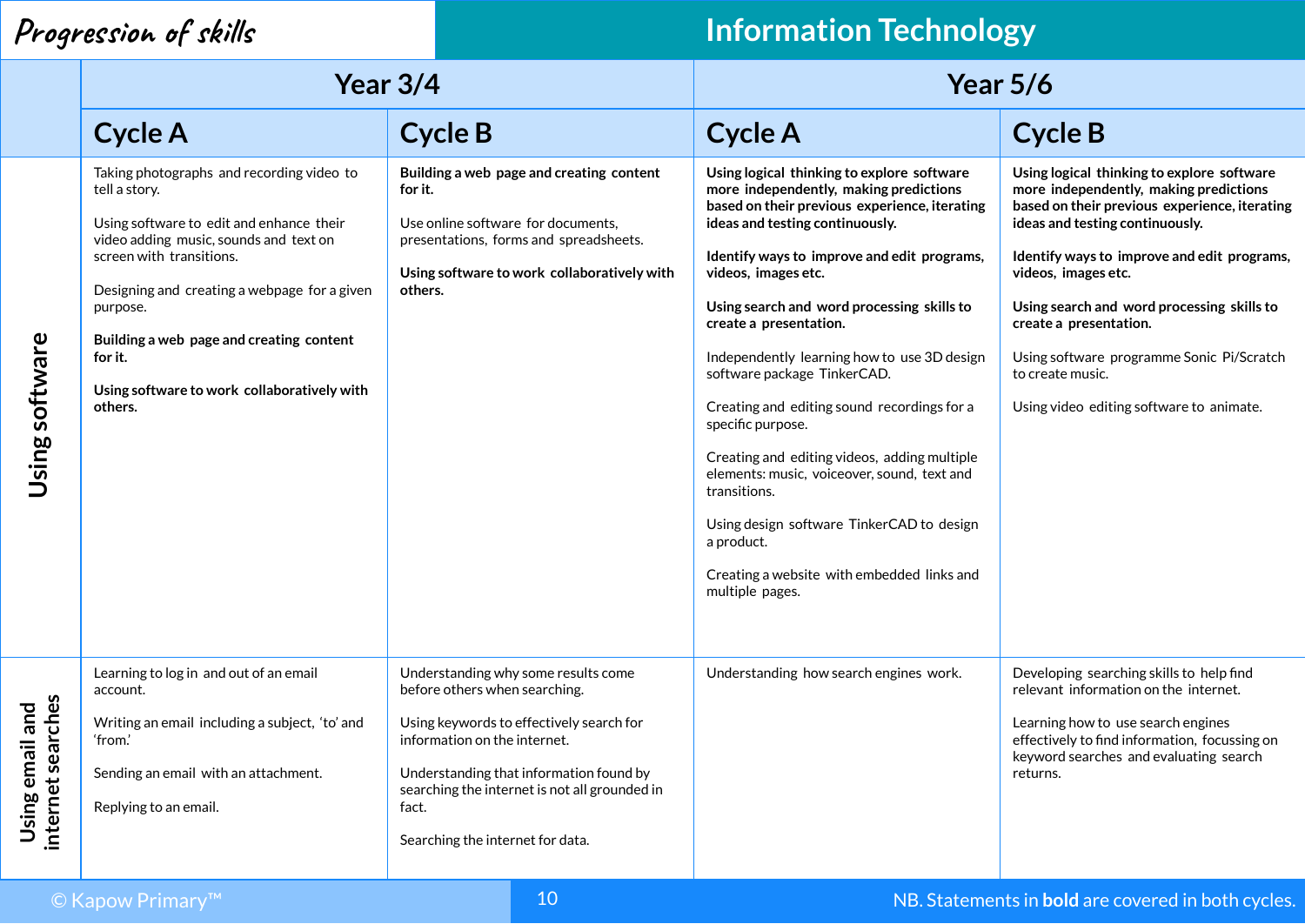### **Progression of skills Information Technology**

|                                                    |                                                                                                                                                                                                                                                                                                                                                           | Year $3/4$                                                                                                                                                                                                                                                                                | Year $5/6$                                                                                                                                                                                                                                                                                                                                                                                                                                                                                                                                                                                                                                                                                                          |                                                                                                                                                                                                                                                                                                                                                                                                                                     |
|----------------------------------------------------|-----------------------------------------------------------------------------------------------------------------------------------------------------------------------------------------------------------------------------------------------------------------------------------------------------------------------------------------------------------|-------------------------------------------------------------------------------------------------------------------------------------------------------------------------------------------------------------------------------------------------------------------------------------------|---------------------------------------------------------------------------------------------------------------------------------------------------------------------------------------------------------------------------------------------------------------------------------------------------------------------------------------------------------------------------------------------------------------------------------------------------------------------------------------------------------------------------------------------------------------------------------------------------------------------------------------------------------------------------------------------------------------------|-------------------------------------------------------------------------------------------------------------------------------------------------------------------------------------------------------------------------------------------------------------------------------------------------------------------------------------------------------------------------------------------------------------------------------------|
|                                                    | <b>Cycle A</b>                                                                                                                                                                                                                                                                                                                                            | <b>Cycle B</b>                                                                                                                                                                                                                                                                            | <b>Cycle A</b>                                                                                                                                                                                                                                                                                                                                                                                                                                                                                                                                                                                                                                                                                                      | <b>Cycle B</b>                                                                                                                                                                                                                                                                                                                                                                                                                      |
| Using software                                     | Taking photographs and recording video to<br>tell a story.<br>Using software to edit and enhance their<br>video adding music, sounds and text on<br>screen with transitions.<br>Designing and creating a webpage for a given<br>purpose.<br>Building a web page and creating content<br>for it.<br>Using software to work collaboratively with<br>others. | Building a web page and creating content<br>for it.<br>Use online software for documents,<br>presentations, forms and spreadsheets.<br>Using software to work collaboratively with<br>others.                                                                                             | Using logical thinking to explore software<br>more independently, making predictions<br>based on their previous experience, iterating<br>ideas and testing continuously.<br>Identify ways to improve and edit programs,<br>videos, images etc.<br>Using search and word processing skills to<br>create a presentation.<br>Independently learning how to use 3D design<br>software package TinkerCAD.<br>Creating and editing sound recordings for a<br>specific purpose.<br>Creating and editing videos, adding multiple<br>elements: music, voiceover, sound, text and<br>transitions.<br>Using design software TinkerCAD to design<br>a product.<br>Creating a website with embedded links and<br>multiple pages. | Using logical thinking to explore software<br>more independently, making predictions<br>based on their previous experience, iterating<br>ideas and testing continuously.<br>Identify ways to improve and edit programs,<br>videos, images etc.<br>Using search and word processing skills to<br>create a presentation.<br>Using software programme Sonic Pi/Scratch<br>to create music.<br>Using video editing software to animate. |
| <b>urches</b><br>and<br>internet sea<br>Using emai | Learning to log in and out of an email<br>account.<br>Writing an email including a subject, 'to' and<br>'from.'<br>Sending an email with an attachment.<br>Replying to an email.                                                                                                                                                                          | Understanding why some results come<br>before others when searching.<br>Using keywords to effectively search for<br>information on the internet.<br>Understanding that information found by<br>searching the internet is not all grounded in<br>fact.<br>Searching the internet for data. | Understanding how search engines work.                                                                                                                                                                                                                                                                                                                                                                                                                                                                                                                                                                                                                                                                              | Developing searching skills to help find<br>relevant information on the internet.<br>Learning how to use search engines<br>effectively to find information, focussing on<br>keyword searches and evaluating search<br>returns.                                                                                                                                                                                                      |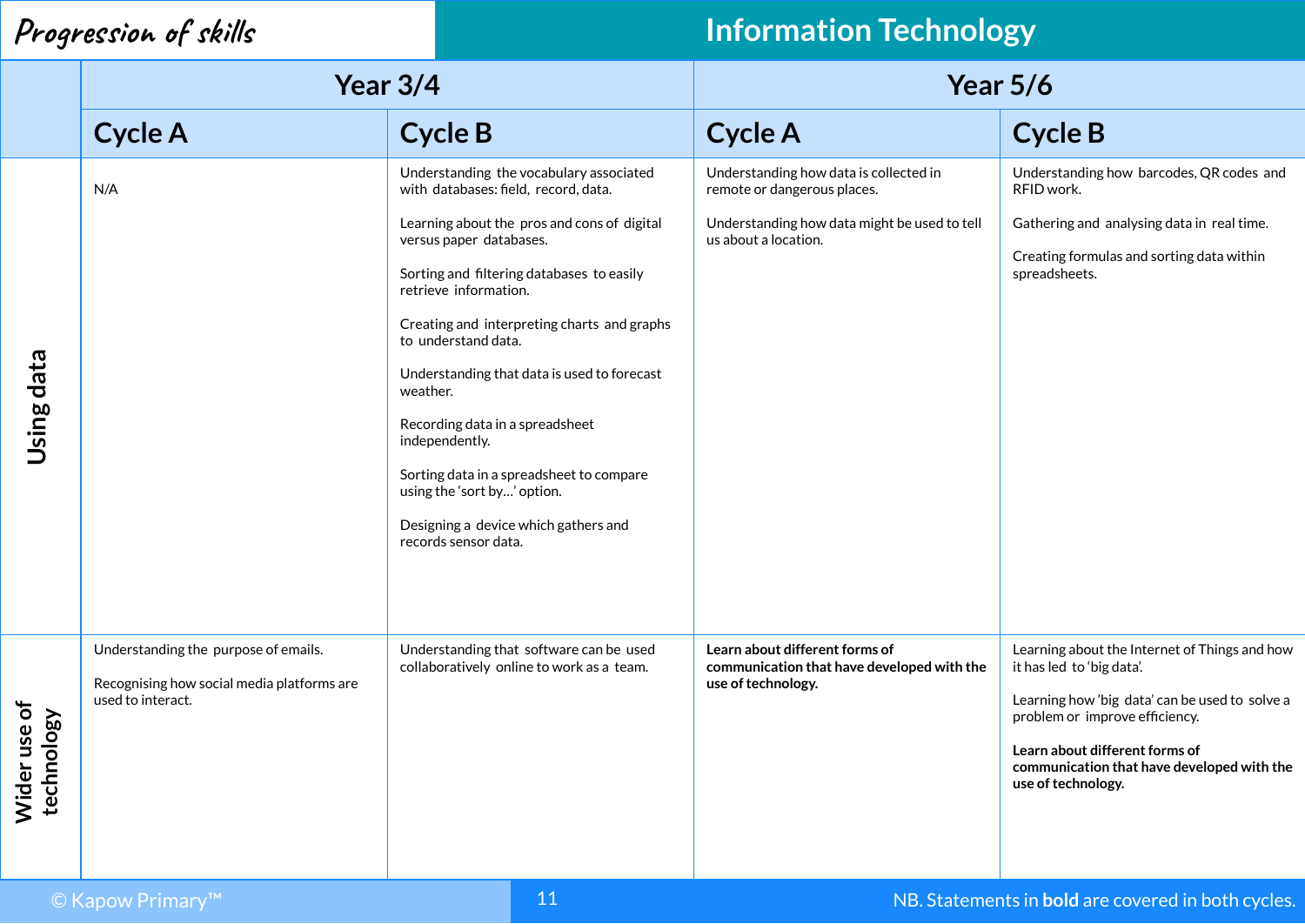|                                | Progression of skills                                                                                   |                                                                                                                                                                                                                                                                                                                                                                                                                                                                                                                                                                  | <b>Information Technology</b>                                                                                                                 |                                                                                                                                                                                                                                                                      |  |
|--------------------------------|---------------------------------------------------------------------------------------------------------|------------------------------------------------------------------------------------------------------------------------------------------------------------------------------------------------------------------------------------------------------------------------------------------------------------------------------------------------------------------------------------------------------------------------------------------------------------------------------------------------------------------------------------------------------------------|-----------------------------------------------------------------------------------------------------------------------------------------------|----------------------------------------------------------------------------------------------------------------------------------------------------------------------------------------------------------------------------------------------------------------------|--|
|                                |                                                                                                         | Year 3/4                                                                                                                                                                                                                                                                                                                                                                                                                                                                                                                                                         | Year $5/6$                                                                                                                                    |                                                                                                                                                                                                                                                                      |  |
|                                | <b>Cycle A</b>                                                                                          | <b>Cycle B</b>                                                                                                                                                                                                                                                                                                                                                                                                                                                                                                                                                   | <b>Cycle A</b>                                                                                                                                | <b>Cycle B</b>                                                                                                                                                                                                                                                       |  |
| Using data                     | N/A                                                                                                     | Understanding the vocabulary associated<br>with databases: field, record, data.<br>Learning about the pros and cons of digital<br>versus paper databases.<br>Sorting and filtering databases to easily<br>retrieve information.<br>Creating and interpreting charts and graphs<br>to understand data.<br>Understanding that data is used to forecast<br>weather.<br>Recording data in a spreadsheet<br>independently.<br>Sorting data in a spreadsheet to compare<br>using the 'sort by' option.<br>Designing a device which gathers and<br>records sensor data. | Understanding how data is collected in<br>remote or dangerous places.<br>Understanding how data might be used to tell<br>us about a location. | Understanding how barcodes, QR codes and<br>RFID work.<br>Gathering and analysing data in real time.<br>Creating formulas and sorting data within<br>spreadsheets.                                                                                                   |  |
| ┶<br>Wider use o<br>technology | Understanding the purpose of emails.<br>Recognising how social media platforms are<br>used to interact. | Understanding that software can be used<br>collaboratively online to work as a team.                                                                                                                                                                                                                                                                                                                                                                                                                                                                             | Learn about different forms of<br>communication that have developed with the<br>use of technology.                                            | Learning about the Internet of Things and how<br>it has led to 'big data'.<br>Learning how 'big data' can be used to solve a<br>problem or improve efficiency.<br>Learn about different forms of<br>communication that have developed with the<br>use of technology. |  |
|                                | © Kapow Primary™                                                                                        | 11                                                                                                                                                                                                                                                                                                                                                                                                                                                                                                                                                               |                                                                                                                                               | NB. Statements in bold are covered in both cycles.                                                                                                                                                                                                                   |  |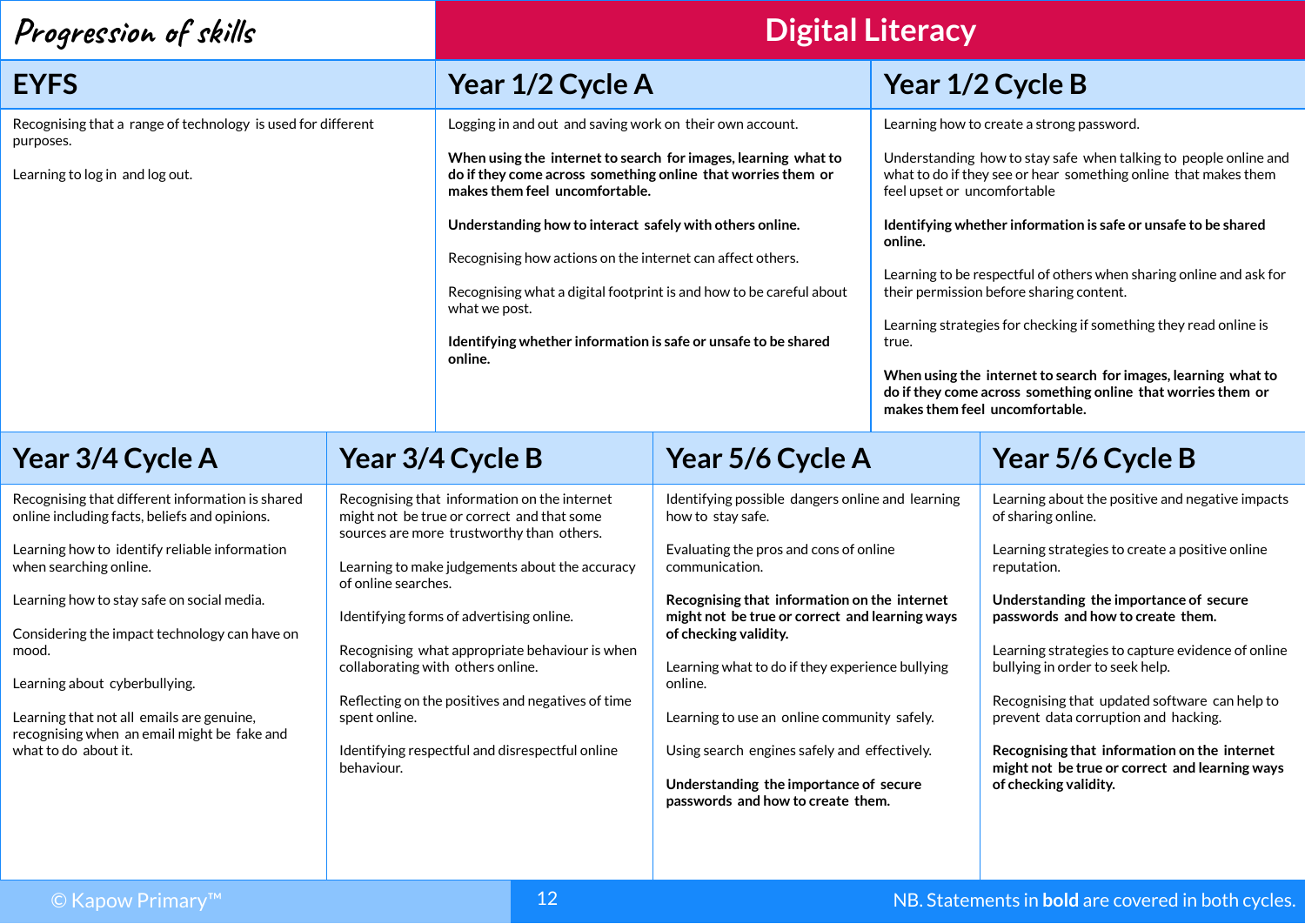|                                                                                                                             | <b>Digital Literacy</b> |                                                                                                                                                                                                                                                                                                                                                                                                                                                                                                                             |                  |                                                                                                                                                                                                                                                                                                                                                                                                                                                                                                                                                                                                                                                                   |  |
|-----------------------------------------------------------------------------------------------------------------------------|-------------------------|-----------------------------------------------------------------------------------------------------------------------------------------------------------------------------------------------------------------------------------------------------------------------------------------------------------------------------------------------------------------------------------------------------------------------------------------------------------------------------------------------------------------------------|------------------|-------------------------------------------------------------------------------------------------------------------------------------------------------------------------------------------------------------------------------------------------------------------------------------------------------------------------------------------------------------------------------------------------------------------------------------------------------------------------------------------------------------------------------------------------------------------------------------------------------------------------------------------------------------------|--|
|                                                                                                                             |                         |                                                                                                                                                                                                                                                                                                                                                                                                                                                                                                                             |                  | Year 1/2 Cycle B                                                                                                                                                                                                                                                                                                                                                                                                                                                                                                                                                                                                                                                  |  |
| <b>EYFS</b><br>Recognising that a range of technology is used for different<br>purposes.<br>Learning to log in and log out. |                         | Logging in and out and saving work on their own account.<br>When using the internet to search for images, learning what to<br>do if they come across something online that worries them or<br>makes them feel uncomfortable.<br>Understanding how to interact safely with others online.<br>Recognising how actions on the internet can affect others.<br>Recognising what a digital footprint is and how to be careful about<br>what we post.<br>Identifying whether information is safe or unsafe to be shared<br>online. |                  | Learning how to create a strong password.<br>Understanding how to stay safe when talking to people online and<br>what to do if they see or hear something online that makes them<br>feel upset or uncomfortable<br>Identifying whether information is safe or unsafe to be shared<br>online.<br>Learning to be respectful of others when sharing online and ask for<br>their permission before sharing content.<br>Learning strategies for checking if something they read online is<br>true.<br>When using the internet to search for images, learning what to<br>do if they come across something online that worries them or<br>makes them feel uncomfortable. |  |
|                                                                                                                             |                         |                                                                                                                                                                                                                                                                                                                                                                                                                                                                                                                             |                  | Year 5/6 Cycle B                                                                                                                                                                                                                                                                                                                                                                                                                                                                                                                                                                                                                                                  |  |
| spent online.                                                                                                               |                         | how to stay safe.<br>communication.<br>of checking validity.<br>online.                                                                                                                                                                                                                                                                                                                                                                                                                                                     |                  | Learning about the positive and negative impacts<br>of sharing online.<br>Learning strategies to create a positive online<br>reputation.<br>Understanding the importance of secure<br>passwords and how to create them.<br>Learning strategies to capture evidence of online<br>bullying in order to seek help.<br>Recognising that updated software can help to<br>prevent data corruption and hacking.<br>Recognising that information on the internet                                                                                                                                                                                                          |  |
|                                                                                                                             |                         | Year 3/4 Cycle B<br>Recognising that information on the internet<br>might not be true or correct and that some<br>sources are more trustworthy than others.<br>Learning to make judgements about the accuracy<br>of online searches.<br>Identifying forms of advertising online.<br>Recognising what appropriate behaviour is when<br>collaborating with others online.<br>Reflecting on the positives and negatives of time<br>Identifying respectful and disrespectful online                                             | Year 1/2 Cycle A | Year 5/6 Cycle A<br>Identifying possible dangers online and learning<br>Evaluating the pros and cons of online<br>Recognising that information on the internet<br>might not be true or correct and learning ways<br>Learning what to do if they experience bullying<br>Learning to use an online community safely.<br>Using search engines safely and effectively.                                                                                                                                                                                                                                                                                                |  |

**Understanding the importance of secure passwords and how to create them.**

**of checking validity.**

**might not be true or correct and learning ways** 

behaviour.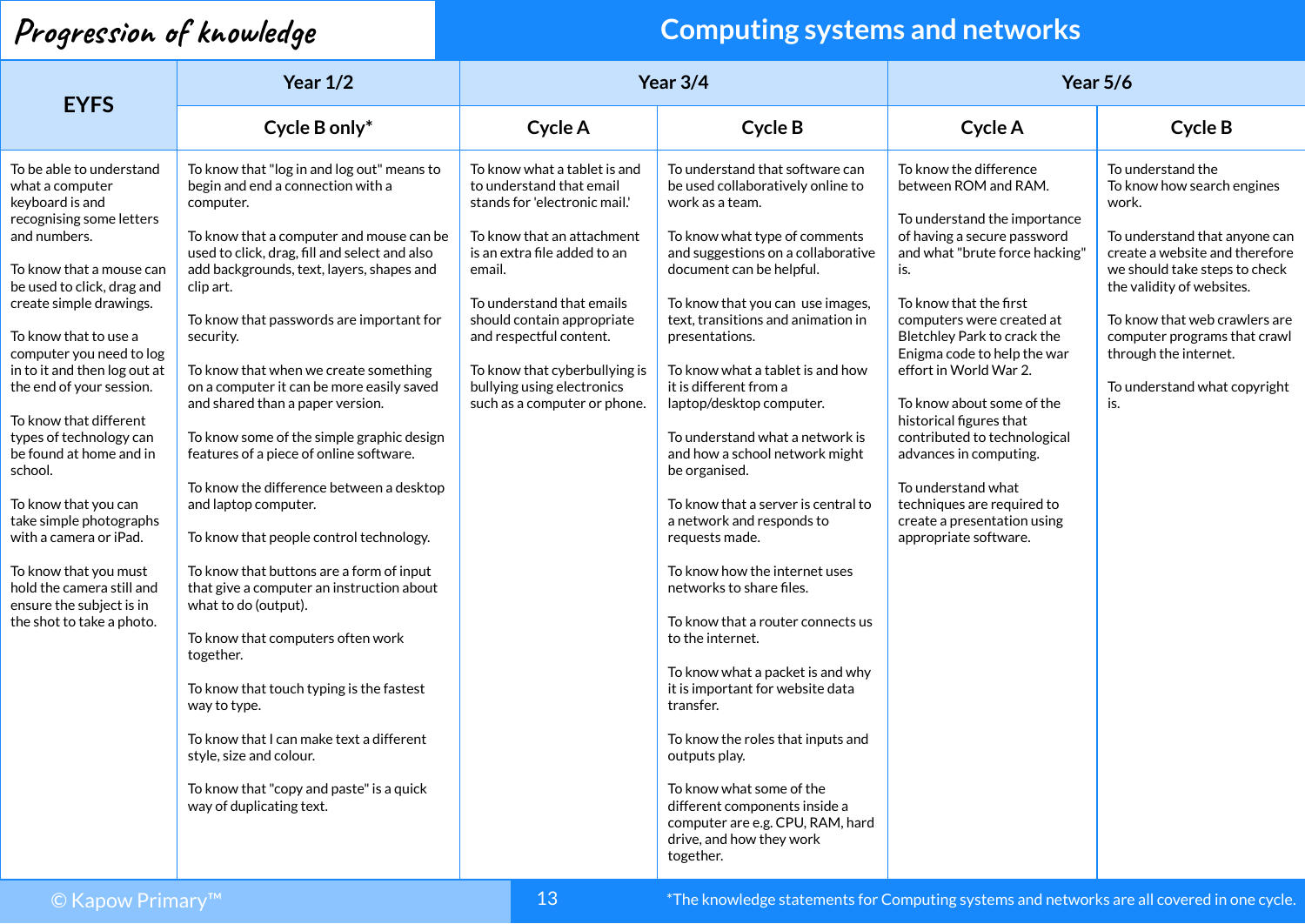### **Progression of knowledge Computing systems and networks**

| <b>EYFS</b>                                                                                                                                                                                                                                                                                                                                                                                                                                                                                                                                                                                             | Year 1/2                                                                                                                                                                                                                                                                                                                                                                                                                                                                                                                                                                                                                                                                                                                                                                                                                                                                                                                                                                                                                    |                                                                                                                                                                                                                                                                                                                                                        | Year 3/4                                                                                                                                                                                                                                                                                                                                                                                                                                                                                                                                                                                                                                                                                                                                                                                                                                                                                                                                                                | Year 5/6                                                                                                                                                                                                                                                                                                                                                                                                                                                                                                                            |                                                                                                                                                                                                                                                                                                                            |  |
|---------------------------------------------------------------------------------------------------------------------------------------------------------------------------------------------------------------------------------------------------------------------------------------------------------------------------------------------------------------------------------------------------------------------------------------------------------------------------------------------------------------------------------------------------------------------------------------------------------|-----------------------------------------------------------------------------------------------------------------------------------------------------------------------------------------------------------------------------------------------------------------------------------------------------------------------------------------------------------------------------------------------------------------------------------------------------------------------------------------------------------------------------------------------------------------------------------------------------------------------------------------------------------------------------------------------------------------------------------------------------------------------------------------------------------------------------------------------------------------------------------------------------------------------------------------------------------------------------------------------------------------------------|--------------------------------------------------------------------------------------------------------------------------------------------------------------------------------------------------------------------------------------------------------------------------------------------------------------------------------------------------------|-------------------------------------------------------------------------------------------------------------------------------------------------------------------------------------------------------------------------------------------------------------------------------------------------------------------------------------------------------------------------------------------------------------------------------------------------------------------------------------------------------------------------------------------------------------------------------------------------------------------------------------------------------------------------------------------------------------------------------------------------------------------------------------------------------------------------------------------------------------------------------------------------------------------------------------------------------------------------|-------------------------------------------------------------------------------------------------------------------------------------------------------------------------------------------------------------------------------------------------------------------------------------------------------------------------------------------------------------------------------------------------------------------------------------------------------------------------------------------------------------------------------------|----------------------------------------------------------------------------------------------------------------------------------------------------------------------------------------------------------------------------------------------------------------------------------------------------------------------------|--|
|                                                                                                                                                                                                                                                                                                                                                                                                                                                                                                                                                                                                         | Cycle B only*                                                                                                                                                                                                                                                                                                                                                                                                                                                                                                                                                                                                                                                                                                                                                                                                                                                                                                                                                                                                               | Cycle A                                                                                                                                                                                                                                                                                                                                                | Cycle B                                                                                                                                                                                                                                                                                                                                                                                                                                                                                                                                                                                                                                                                                                                                                                                                                                                                                                                                                                 | Cycle A                                                                                                                                                                                                                                                                                                                                                                                                                                                                                                                             | Cycle B                                                                                                                                                                                                                                                                                                                    |  |
| To be able to understand<br>what a computer<br>keyboard is and<br>recognising some letters<br>and numbers.<br>To know that a mouse can<br>be used to click, drag and<br>create simple drawings.<br>To know that to use a<br>computer you need to log<br>in to it and then log out at<br>the end of your session.<br>To know that different<br>types of technology can<br>be found at home and in<br>school.<br>To know that you can<br>take simple photographs<br>with a camera or iPad.<br>To know that you must<br>hold the camera still and<br>ensure the subject is in<br>the shot to take a photo. | To know that "log in and log out" means to<br>begin and end a connection with a<br>computer.<br>To know that a computer and mouse can be<br>used to click, drag, fill and select and also<br>add backgrounds, text, layers, shapes and<br>clip art.<br>To know that passwords are important for<br>security.<br>To know that when we create something<br>on a computer it can be more easily saved<br>and shared than a paper version.<br>To know some of the simple graphic design<br>features of a piece of online software.<br>To know the difference between a desktop<br>and laptop computer.<br>To know that people control technology.<br>To know that buttons are a form of input<br>that give a computer an instruction about<br>what to do (output).<br>To know that computers often work<br>together.<br>To know that touch typing is the fastest<br>way to type.<br>To know that I can make text a different<br>style, size and colour.<br>To know that "copy and paste" is a quick<br>way of duplicating text. | To know what a tablet is and<br>to understand that email<br>stands for 'electronic mail.'<br>To know that an attachment<br>is an extra file added to an<br>email.<br>To understand that emails<br>should contain appropriate<br>and respectful content.<br>To know that cyberbullying is<br>bullying using electronics<br>such as a computer or phone. | To understand that software can<br>be used collaboratively online to<br>work as a team.<br>To know what type of comments<br>and suggestions on a collaborative<br>document can be helpful.<br>To know that you can use images,<br>text, transitions and animation in<br>presentations.<br>To know what a tablet is and how<br>it is different from a<br>laptop/desktop computer.<br>To understand what a network is<br>and how a school network might<br>be organised.<br>To know that a server is central to<br>a network and responds to<br>requests made.<br>To know how the internet uses<br>networks to share files.<br>To know that a router connects us<br>to the internet.<br>To know what a packet is and why<br>it is important for website data<br>transfer.<br>To know the roles that inputs and<br>outputs play.<br>To know what some of the<br>different components inside a<br>computer are e.g. CPU, RAM, hard<br>drive, and how they work<br>together. | To know the difference<br>between ROM and RAM.<br>To understand the importance<br>of having a secure password<br>and what "brute force hacking"<br>is.<br>To know that the first<br>computers were created at<br>Bletchley Park to crack the<br>Enigma code to help the war<br>effort in World War 2.<br>To know about some of the<br>historical figures that<br>contributed to technological<br>advances in computing.<br>To understand what<br>techniques are required to<br>create a presentation using<br>appropriate software. | To understand the<br>To know how search engines<br>work.<br>To understand that anyone can<br>create a website and therefore<br>we should take steps to check<br>the validity of websites.<br>To know that web crawlers are<br>computer programs that crawl<br>through the internet.<br>To understand what copyright<br>is. |  |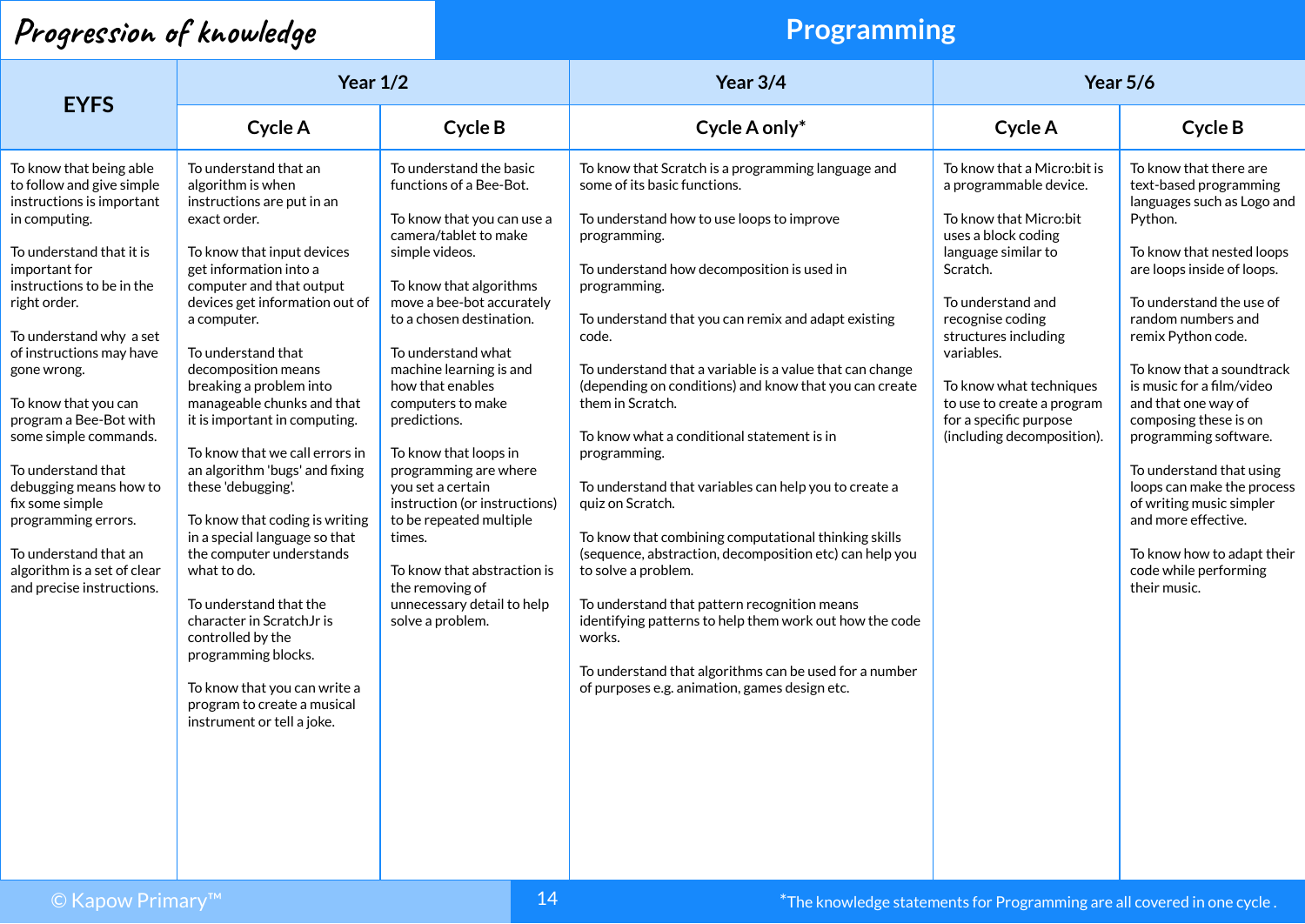### **Progression of knowledge Programming**

| <b>EYFS</b>                                                                                                                                                                                                                                                                                                                                                                                                                                                                                                                  | Year $1/2$                                                                                                                                                                                                                                                                                                                                                                                                                                                                                                                                                                                                                                                                                                                                                                   |                                                                                                                                                                                                                                                                                                                                                                                                                                                                                                                                                                            | Year 3/4                                                                                                                                                                                                                                                                                                                                                                                                                                                                                                                                                                                                                                                                                                                                                                                                                                                                                                                                     | <b>Year 5/6</b>                                                                                                                                                                                                                                                                                                                           |                                                                                                                                                                                                                                                                                                                                                                                                                                                                                                                                                     |  |
|------------------------------------------------------------------------------------------------------------------------------------------------------------------------------------------------------------------------------------------------------------------------------------------------------------------------------------------------------------------------------------------------------------------------------------------------------------------------------------------------------------------------------|------------------------------------------------------------------------------------------------------------------------------------------------------------------------------------------------------------------------------------------------------------------------------------------------------------------------------------------------------------------------------------------------------------------------------------------------------------------------------------------------------------------------------------------------------------------------------------------------------------------------------------------------------------------------------------------------------------------------------------------------------------------------------|----------------------------------------------------------------------------------------------------------------------------------------------------------------------------------------------------------------------------------------------------------------------------------------------------------------------------------------------------------------------------------------------------------------------------------------------------------------------------------------------------------------------------------------------------------------------------|----------------------------------------------------------------------------------------------------------------------------------------------------------------------------------------------------------------------------------------------------------------------------------------------------------------------------------------------------------------------------------------------------------------------------------------------------------------------------------------------------------------------------------------------------------------------------------------------------------------------------------------------------------------------------------------------------------------------------------------------------------------------------------------------------------------------------------------------------------------------------------------------------------------------------------------------|-------------------------------------------------------------------------------------------------------------------------------------------------------------------------------------------------------------------------------------------------------------------------------------------------------------------------------------------|-----------------------------------------------------------------------------------------------------------------------------------------------------------------------------------------------------------------------------------------------------------------------------------------------------------------------------------------------------------------------------------------------------------------------------------------------------------------------------------------------------------------------------------------------------|--|
|                                                                                                                                                                                                                                                                                                                                                                                                                                                                                                                              | Cycle A                                                                                                                                                                                                                                                                                                                                                                                                                                                                                                                                                                                                                                                                                                                                                                      | Cycle B                                                                                                                                                                                                                                                                                                                                                                                                                                                                                                                                                                    | Cycle A only*                                                                                                                                                                                                                                                                                                                                                                                                                                                                                                                                                                                                                                                                                                                                                                                                                                                                                                                                | Cycle A                                                                                                                                                                                                                                                                                                                                   | Cycle B                                                                                                                                                                                                                                                                                                                                                                                                                                                                                                                                             |  |
| To know that being able<br>to follow and give simple<br>instructions is important<br>in computing.<br>To understand that it is<br>important for<br>instructions to be in the<br>right order.<br>To understand why a set<br>of instructions may have<br>gone wrong.<br>To know that you can<br>program a Bee-Bot with<br>some simple commands.<br>To understand that<br>debugging means how to<br>fix some simple<br>programming errors.<br>To understand that an<br>algorithm is a set of clear<br>and precise instructions. | To understand that an<br>algorithm is when<br>instructions are put in an<br>exact order.<br>To know that input devices<br>get information into a<br>computer and that output<br>devices get information out of<br>a computer.<br>To understand that<br>decomposition means<br>breaking a problem into<br>manageable chunks and that<br>it is important in computing.<br>To know that we call errors in<br>an algorithm 'bugs' and fixing<br>these 'debugging'.<br>To know that coding is writing<br>in a special language so that<br>the computer understands<br>what to do.<br>To understand that the<br>character in ScratchJr is<br>controlled by the<br>programming blocks.<br>To know that you can write a<br>program to create a musical<br>instrument or tell a joke. | To understand the basic<br>functions of a Bee-Bot.<br>To know that you can use a<br>camera/tablet to make<br>simple videos.<br>To know that algorithms<br>move a bee-bot accurately<br>to a chosen destination.<br>To understand what<br>machine learning is and<br>how that enables<br>computers to make<br>predictions.<br>To know that loops in<br>programming are where<br>vou set a certain<br>instruction (or instructions)<br>to be repeated multiple<br>times.<br>To know that abstraction is<br>the removing of<br>unnecessary detail to help<br>solve a problem. | To know that Scratch is a programming language and<br>some of its basic functions.<br>To understand how to use loops to improve<br>programming.<br>To understand how decomposition is used in<br>programming.<br>To understand that you can remix and adapt existing<br>code.<br>To understand that a variable is a value that can change<br>(depending on conditions) and know that you can create<br>them in Scratch.<br>To know what a conditional statement is in<br>programming.<br>To understand that variables can help you to create a<br>quiz on Scratch.<br>To know that combining computational thinking skills<br>(sequence, abstraction, decomposition etc) can help you<br>to solve a problem.<br>To understand that pattern recognition means<br>identifying patterns to help them work out how the code<br>works.<br>To understand that algorithms can be used for a number<br>of purposes e.g. animation, games design etc. | To know that a Micro:bit is<br>a programmable device.<br>To know that Micro:bit<br>uses a block coding<br>language similar to<br>Scratch.<br>To understand and<br>recognise coding<br>structures including<br>variables.<br>To know what techniques<br>to use to create a program<br>for a specific purpose<br>(including decomposition). | To know that there are<br>text-based programming<br>languages such as Logo and<br>Python.<br>To know that nested loops<br>are loops inside of loops.<br>To understand the use of<br>random numbers and<br>remix Python code.<br>To know that a soundtrack<br>is music for a film/video<br>and that one way of<br>composing these is on<br>programming software.<br>To understand that using<br>loops can make the process<br>of writing music simpler<br>and more effective.<br>To know how to adapt their<br>code while performing<br>their music. |  |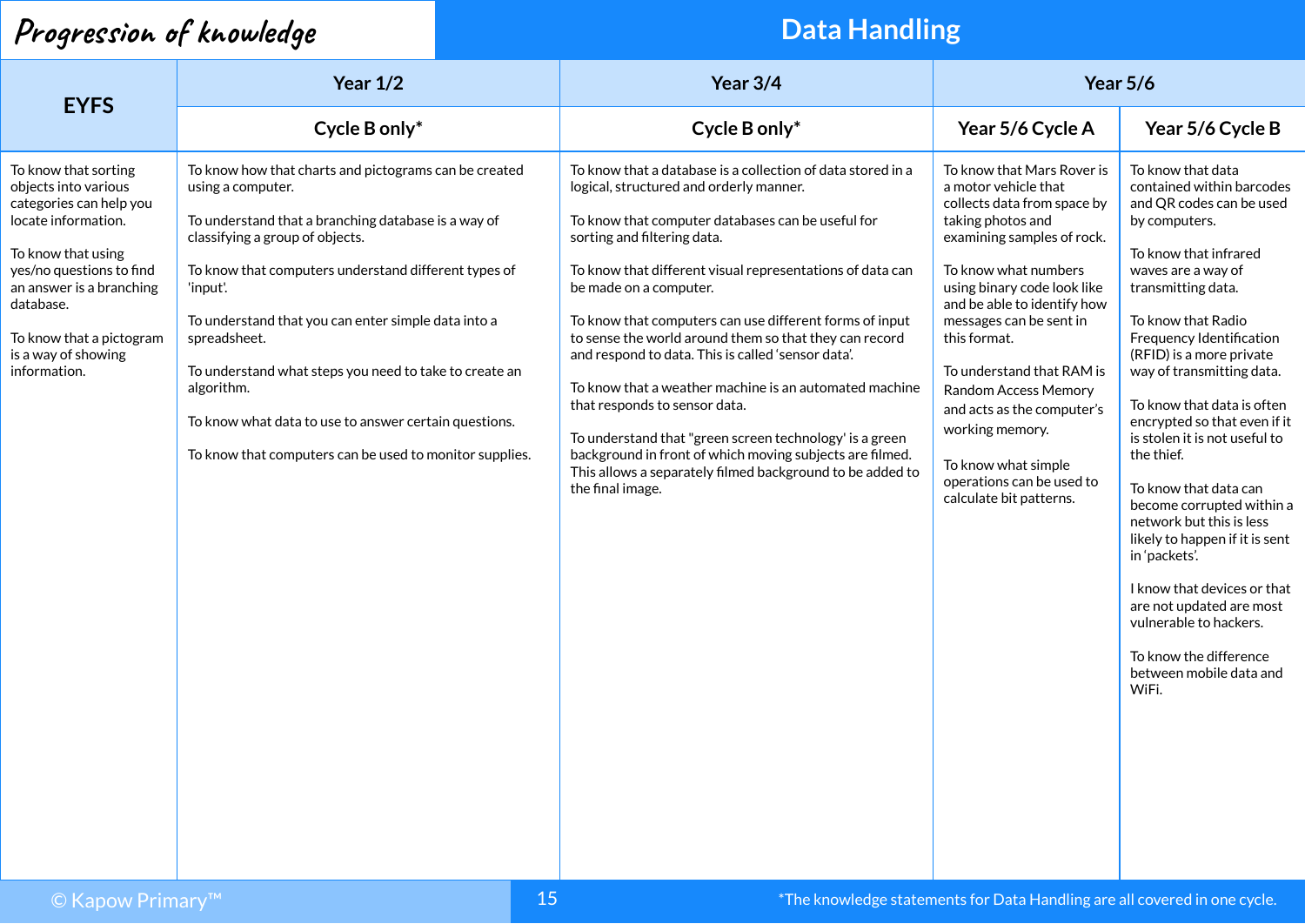### **Progression of knowledge Data Handling**

| <b>EYFS</b>                                                                                                                                                                                                                                                  | Year $1/2$                                                                                                                                                                                                                                                                                                                                                                                                                                                                                                  | Year 3/4                                                                                                                                                                                                                                                                                                                                                                                                                                                                                                                                                                                                                                                                                                                                                        | <b>Year 5/6</b>                                                                                                                                                                                                                                                                                                                                                                                                                                                   |                                                                                                                                                                                                                                                                                                                                                                                                                                                                                                                                                                                                                                                                                  |
|--------------------------------------------------------------------------------------------------------------------------------------------------------------------------------------------------------------------------------------------------------------|-------------------------------------------------------------------------------------------------------------------------------------------------------------------------------------------------------------------------------------------------------------------------------------------------------------------------------------------------------------------------------------------------------------------------------------------------------------------------------------------------------------|-----------------------------------------------------------------------------------------------------------------------------------------------------------------------------------------------------------------------------------------------------------------------------------------------------------------------------------------------------------------------------------------------------------------------------------------------------------------------------------------------------------------------------------------------------------------------------------------------------------------------------------------------------------------------------------------------------------------------------------------------------------------|-------------------------------------------------------------------------------------------------------------------------------------------------------------------------------------------------------------------------------------------------------------------------------------------------------------------------------------------------------------------------------------------------------------------------------------------------------------------|----------------------------------------------------------------------------------------------------------------------------------------------------------------------------------------------------------------------------------------------------------------------------------------------------------------------------------------------------------------------------------------------------------------------------------------------------------------------------------------------------------------------------------------------------------------------------------------------------------------------------------------------------------------------------------|
|                                                                                                                                                                                                                                                              | Cycle B only*                                                                                                                                                                                                                                                                                                                                                                                                                                                                                               | Cycle B only*                                                                                                                                                                                                                                                                                                                                                                                                                                                                                                                                                                                                                                                                                                                                                   | Year 5/6 Cycle A                                                                                                                                                                                                                                                                                                                                                                                                                                                  | Year 5/6 Cycle B                                                                                                                                                                                                                                                                                                                                                                                                                                                                                                                                                                                                                                                                 |
| To know that sorting<br>objects into various<br>categories can help you<br>locate information.<br>To know that using<br>yes/no questions to find<br>an answer is a branching<br>database.<br>To know that a pictogram<br>is a way of showing<br>information. | To know how that charts and pictograms can be created<br>using a computer.<br>To understand that a branching database is a way of<br>classifying a group of objects.<br>To know that computers understand different types of<br>'input'.<br>To understand that you can enter simple data into a<br>spreadsheet.<br>To understand what steps you need to take to create an<br>algorithm.<br>To know what data to use to answer certain questions.<br>To know that computers can be used to monitor supplies. | To know that a database is a collection of data stored in a<br>logical, structured and orderly manner.<br>To know that computer databases can be useful for<br>sorting and filtering data.<br>To know that different visual representations of data can<br>be made on a computer.<br>To know that computers can use different forms of input<br>to sense the world around them so that they can record<br>and respond to data. This is called 'sensor data'.<br>To know that a weather machine is an automated machine<br>that responds to sensor data.<br>To understand that "green screen technology' is a green<br>background in front of which moving subjects are filmed.<br>This allows a separately filmed background to be added to<br>the final image. | To know that Mars Rover is<br>a motor vehicle that<br>collects data from space by<br>taking photos and<br>examining samples of rock.<br>To know what numbers<br>using binary code look like<br>and be able to identify how<br>messages can be sent in<br>this format.<br>To understand that RAM is<br><b>Random Access Memory</b><br>and acts as the computer's<br>working memory.<br>To know what simple<br>operations can be used to<br>calculate bit patterns. | To know that data<br>contained within barcodes<br>and QR codes can be used<br>by computers.<br>To know that infrared<br>waves are a way of<br>transmitting data.<br>To know that Radio<br>Frequency Identification<br>(RFID) is a more private<br>way of transmitting data.<br>To know that data is often<br>encrypted so that even if it<br>is stolen it is not useful to<br>the thief.<br>To know that data can<br>become corrupted within a<br>network but this is less<br>likely to happen if it is sent<br>in 'packets'.<br>I know that devices or that<br>are not updated are most<br>vulnerable to hackers.<br>To know the difference<br>between mobile data and<br>WiFi. |